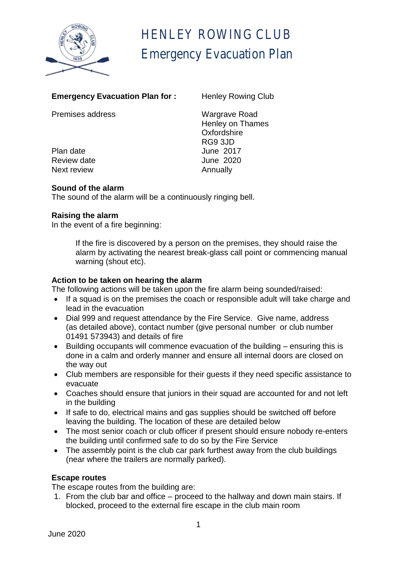

# HENLEY ROWING CLUB Emergency Evacuation Plan

| Emergency Evacuation Plan for : | <b>Herliey Rowllig Giu</b> |
|---------------------------------|----------------------------|
| <b>Premises address</b>         | <b>Wargrave Road</b>       |
|                                 | <b>Henley on Thames</b>    |
|                                 | Oxfordshire                |
|                                 | RG9 3JD                    |
| Plan date                       | June 2017                  |
| Review date                     | June 2020                  |
| Next review                     | Annually                   |

# **Emergency Evacuation Plan for : Henley Rowing Club**

**Sound of the alarm**

The sound of the alarm will be a continuously ringing bell.

#### **Raising the alarm**

In the event of a fire beginning:

If the fire is discovered by a person on the premises, they should raise the alarm by activating the nearest break-glass call point or commencing manual warning (shout etc).

#### **Action to be taken on hearing the alarm**

The following actions will be taken upon the fire alarm being sounded/raised:

- If a squad is on the premises the coach or responsible adult will take charge and lead in the evacuation
- Dial 999 and request attendance by the Fire Service. Give name, address (as detailed above), contact number (give personal number or club number 01491 573943) and details of fire
- Building occupants will commence evacuation of the building ensuring this is done in a calm and orderly manner and ensure all internal doors are closed on the way out
- Club members are responsible for their guests if they need specific assistance to evacuate
- Coaches should ensure that juniors in their squad are accounted for and not left in the building
- If safe to do, electrical mains and gas supplies should be switched off before leaving the building. The location of these are detailed below
- The most senior coach or club officer if present should ensure nobody re-enters the building until confirmed safe to do so by the Fire Service
- The assembly point is the club car park furthest away from the club buildings (near where the trailers are normally parked).

## **Escape routes**

The escape routes from the building are:

1. From the club bar and office – proceed to the hallway and down main stairs. If blocked, proceed to the external fire escape in the club main room